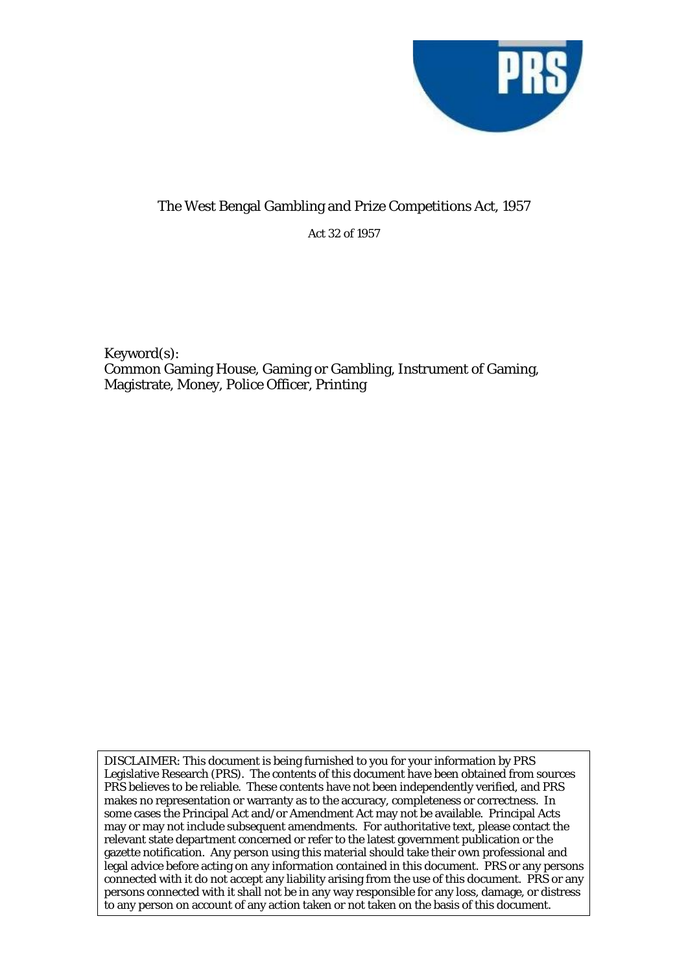

Act 32 of 1957

Keyword(s): Common Gaming House, Gaming or Gambling, Instrument of Gaming, Magistrate, Money, Police Officer, Printing

DISCLAIMER: This document is being furnished to you for your information by PRS Legislative Research (PRS). The contents of this document have been obtained from sources PRS believes to be reliable. These contents have not been independently verified, and PRS makes no representation or warranty as to the accuracy, completeness or correctness. In some cases the Principal Act and/or Amendment Act may not be available. Principal Acts may or may not include subsequent amendments. For authoritative text, please contact the relevant state department concerned or refer to the latest government publication or the gazette notification. Any person using this material should take their own professional and legal advice before acting on any information contained in this document. PRS or any persons connected with it do not accept any liability arising from the use of this document. PRS or any persons connected with it shall not be in any way responsible for any loss, damage, or distress to any person on account of any action taken or not taken on the basis of this document.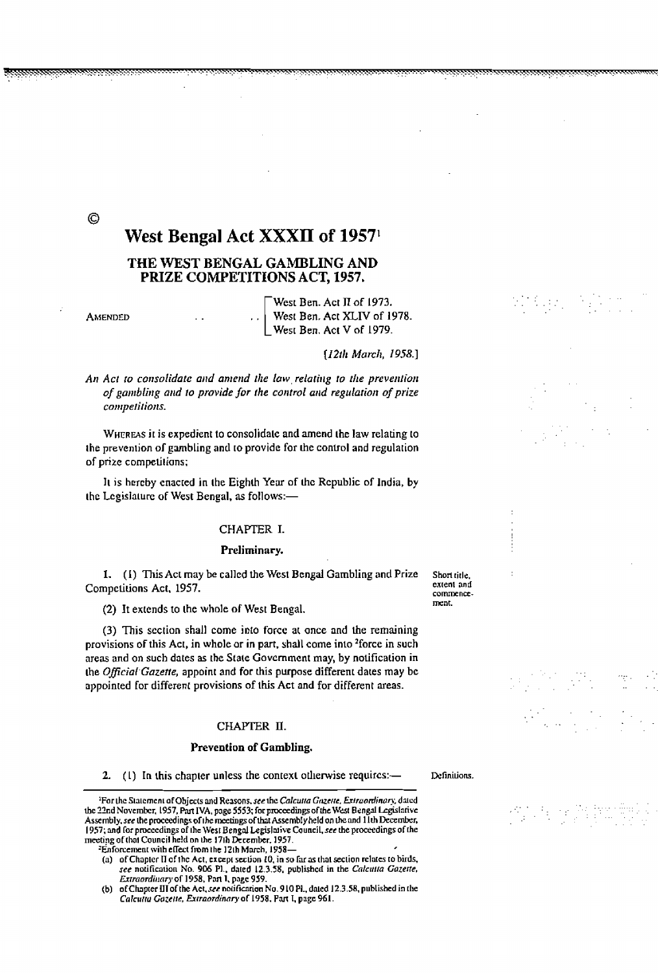# West Bengal Act XXXII of 1957<sup>1</sup>

## THE WEST BENGAL GAMBLING AND PRIZE COMPETITIONS ACT, 1957.

**AMENDED** 

 $\odot$ 

West Ben. Act II of 1973. West Ben. Act XLIV of 1978. West Ben. Act V of 1979.

[12th March, 1958.]

An Act to consolidate and amend the law relating to the prevention of gambling and to provide for the control and regulation of prize competitions.

WHEREAS it is expedient to consolidate and amend the law relating to the prevention of gambling and to provide for the control and regulation of prize competitions;

It is hereby enacted in the Eighth Year of the Republic of India, by the Legislature of West Bengal, as follows:-

#### CHAPTER I.

#### Preliminary.

1. (I) This Act may be called the West Bengal Gambling and Prize Competitions Act, 1957.

(2) It extends to the whole of West Bengal.

(3) This section shall come into force at once and the remaining provisions of this Act, in whole or in part, shall come into <sup>2</sup>force in such areas and on such dates as the State Government may, by notification in the Official Gazette, appoint and for this purpose different dates may be appointed for different provisions of this Act and for different areas.

#### CHAPTER II.

#### Prevention of Gambling.

2. (1) In this chapter unless the context otherwise requires:—

<sup>1</sup>For the Statement of Objects and Reasons, see the Calcutta Gozette, Extraordinary, dated the 22nd November, 1957, Part IVA, page 5553; for proceedings of the West Bengal Legislative Assembly, see the proceedings of the meetings of that Assembly held on the and 11th December, 1957; and for proceedings of the West Bengal Legislative Council, see the proceedings of the meeting of that Council held on the 17th December, 1957.

- Enforcement with effect from the 12th March, 1958-
- (a) of Chapter II of the Act, except section 10, in so far as that section relates to birds, see notification No. 906 Pl., dated 12.3.58, published in the Calcutta Gazette, Extraordinary of 1958, Pan 1, page 959.
- of Chapter III of the Act, see notification No. 910 Pl., dated 12.3.58, published in the  $(b)$ Calcutta Gazette, Extraordinary of 1958, Part I, page 961.

Short title, extent and commencement.

Definitions.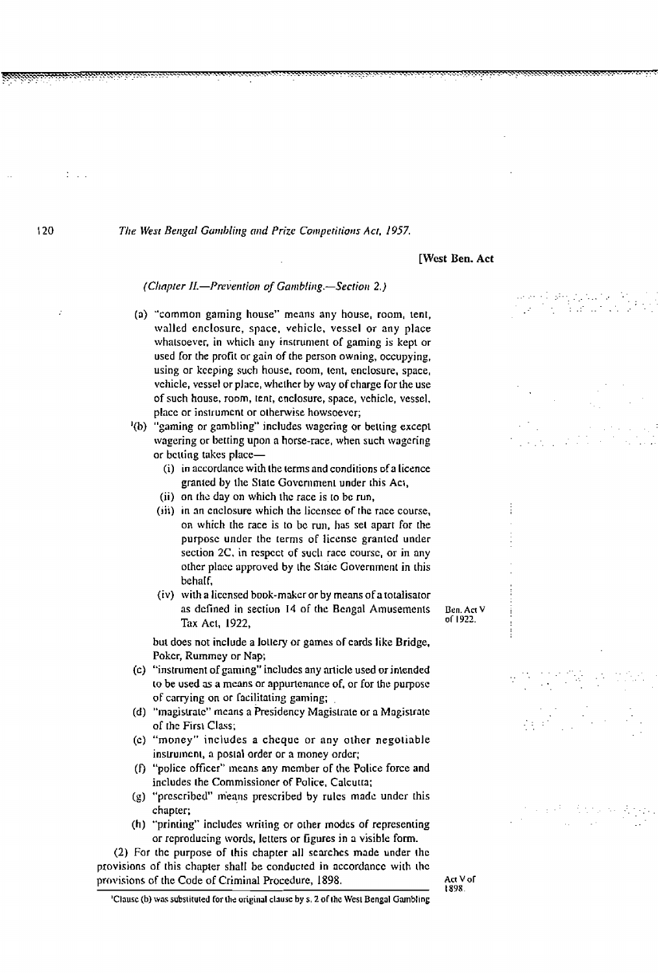#### **[West Ben. Act**

(Chapter II.-Prevention of Gambling.-Section 2.)

**(a)** "common gaming house" **mcans** any **house,** room, lent, walled enclosure, **space.** vehicle, vcssel **or any** place **whalsoevcr, in which any** ins~runienr **of gaming is kept** or used for [he protit or **gain** of the person **owning,** occupying, using or **kccping** such house, room, tent, enclosure, space, vchicle, vessel or place, whether by way of charge for the use of such **house,** room, tent, cnclosure, space, vchiclc, vessel, **placc** or inslrumcnt or olhenvise howsoever;

<sup>1</sup>(b) "gaming or gambling" includes wagering or betting except wagering or betting upon a horse-race, when **such wagcring**  or betting takes place-

- (i) in accordance wirh the terms and conditions **ofa** licence **granted by the State Government under this Act,**
- (ii) on **~b** day on **which** thc race is **10** bc run,
- **(~ii)** in an cnclosure **which** [he liccnscc **or the race course, on which** [he **racc** is to bc run, has set apart for [he **purposc** under thc Lerms of liccnse grantcd under section 2C, in respect of such race course, or in any other place approved by the State Government in this behaIf,
- (iv) with a liccnsed bo~k-m Acr or by **means** of a tolalisator as defined in section 14 of the Bengal Amusements **Ben.Act V ISOS Tax** Act, 1922, **or 1922.**

**but** does not include a loltery or **games of** cards **like** Bridge, Pokcr, **Rummcy** or Nap;

- **(c)** "instrument oigarning" includes any **arlicle used or jnlended ro be used as a means or appurtenance of, or for the purpose** OF **carrying** on or racilitaling **gaming;** .
- (d) "magistrate" mcans a Presidency Magislratc or a **Mogisuntc of** rhc Firn **Class;**
- (c) "money" includes a **chcquc** or **any** other negoiiable instrument, a postal order or a money order;
- *(0* "police officer" means **any** rncmber of the Police force **and**  includes the Commissioner of Police, Calcutta;
- (g) "prescribed" **m'eans** prescribed by **rulcs madc** undcr [his chapter;
- (h) "printing" includes writing or other modes of representing or reproducing words, letters or **Lgures** in a visible form.

(2) For thc purpose of this chapler all **scarchcs** made under **rhc**  provisions of this chapter shall be conducted in accordance with the **provisions of the Code of Criminal Procedure, 1898. Act V Act V** *Act V C* 

**tS9R.** 

<sup>1</sup>Clause (b) was substituted for the original clause by s, 2 of the West Bengal Gambling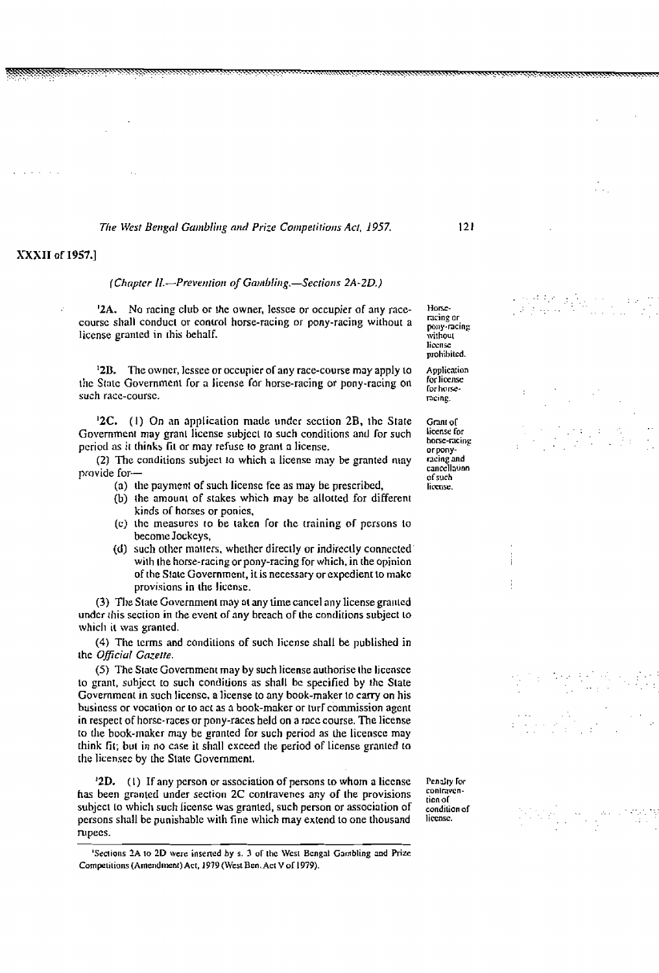## XXXII of 1957.1

(Chapter II.-Prevention of Gambling,-Sections 2A-2D.)

**'2A.** No racing **club or lhc** owner, **lessce** or occupier **of any race**course **shall conducl or control** horse-racing or **pony-racing without a liccnse** granlcd **in** [his behalf.

**l2D. The owner, lcssce** or occupicr ol any race-course **may** apply to thc **Statc** Governmcnl **for a** license **For** horse-racing or pony-racing on such race-course.

**'2C.** (I) **On an application made undcr scction** 2B. **thc State**  Government may granl liccnse subjccl ro **such** conditions **and for** such **period as it thinks fit or may refuse to grant a license.** 

**(2) The cnndilions subjccr to which a licensc** may be **granted may**  provide for-

- **(a) [lie payment of such licensc fcc as may** he **prescribed,**
- **(b) the amounl of slakes which** may be **allaltcd** for different **kinds ol horses or** ponics,
- **(c)** ~hc measures to **be laken for ~hc training of pcrsons lo becomc Jockcys,**
- (d) such other matters, whether directly or indirectly connected **wirh rhe** horse-racing **or** pony-racing for which, in [he opinion of the **S!alc Governmenr, iris** necessary or expedient lo **makc**  provisions in **the liccnsc.**

**(3) Tile State** Govcrnment **may nr** any dme **cancel** any license gn111cd undcr **this secrion in the** event **of** any **brcach OF** he **conditions subject to which it was granted.** 

(4) **Thc** lcrms and candilions **of such liccnsc shall** be **published in ~hc OIJic;uI Gnzefte.** 

**(5) The Sratc Govcmment may by such license authorise rhc liccnsec to grant, subject to such conditions as shall be specified by the State** Government in such license, a license to any book-maker to carry on his **busincss** or **vocation or lo act s** a **book-maker** or **turi commission agent in respect of** horsc-races **or pony-raccs** held **on a** racc **course.** The license to **tlle book-makcr may** be granlcd for such **period as he** licenscc **may**  think **fir; bur** in no cnse it shall **cxcced the** period **of license** granlcd **lo the** licenscc **by** [he **State Govcmrnenl.** 

*l***<sub>2</sub>D. (1) If any person or association of persons to whom a license has been granted under section 2C conlravencs any of the** provisions subjccl lo which such Iiccnsc **was granted, such person or** association **of persons shall be punishable** wilh fine **which may extend to** one **thousand rupecs.** 

**Pcndry Iw conlmvcntionol condition of**  license.

ncing **or,**  pony-racing **a ~vithout liw~lsc prohihilcd. Application ior liccnsc**  *ror* **how-**

**f lorn-**

racing.

**Grant or license** for **horse-minp**  or pony**ncing and unclllauon ofsuch license.** 

**<sup>&#</sup>x27;Sec~io~ls ?A to 1D** *wcrc* **inserted by s. 3 or thc Wcsl Bcngat Gambling and Rix**  Competitions (Amendment) Act, 1979 (West Ben. Act V of 1979).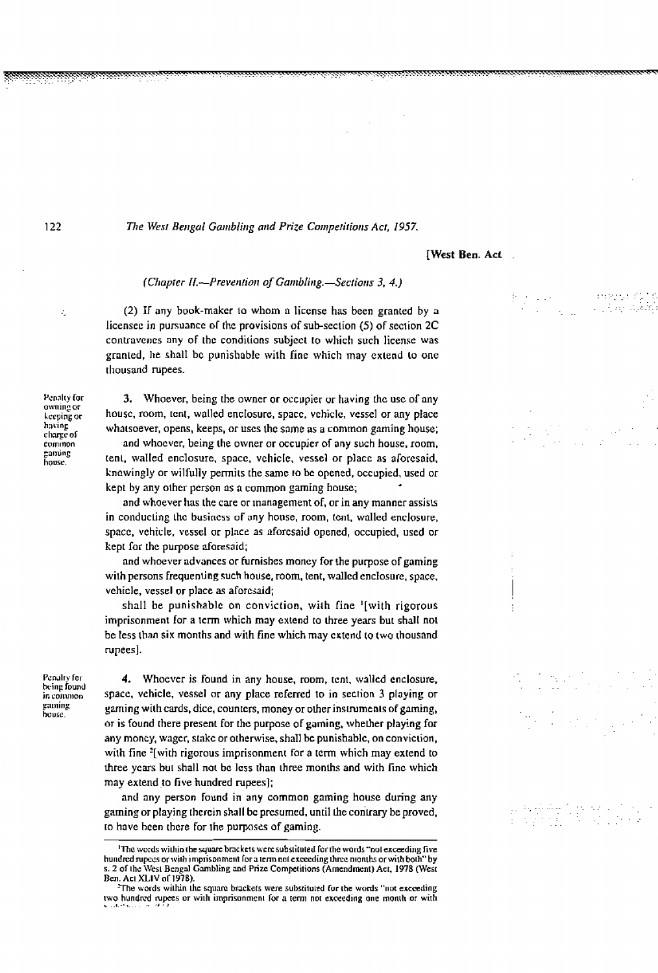122

The West Bengal Gambling and Prize Competitions Act, 1957.

## **[West Ben. Act**

(Chapter II.--Prevention of Gambling.-Sections 3, 4.)

(2) If any book-maker to whom a license has been granted by a licensee in pursuance of the provisions of sub-section (5) of section 2C contravenes any of the conditions subject to which such license was granted, he shall be punishable with fine which may extend to one thousand rupees.

3. Whoever, being the owner or occupier or having the use of any house, room, tent, walled enclosure, space, vehicle, vessel or any place whatsoever, opens, keeps, or uses the same as a common gaming house;

and whoever, being the owner or occupier of any such house, room, tent, walled enclosure, space, vehicle, vessel or place as aforesaid, knowingly or wilfully permits the same to be opened, occupied, used or kept by any other person as a common gaming house;

and whoever has the care or management of, or in any manner assists in conducting the business of any house, room, tent, walled enclosure, space, vehicle, vessel or place as aforesaid opened, occupied, used or kept for the purpose aforesaid;

and whoever advances or furnishes money for the purpose of gaming with persons frequenting such house, room, tent, walled enclosure, space, vehicle, vessel or place as aforesaid;

shall be punishable on conviction, with fine <sup>1</sup>[with rigorous imprisonment for a term which may extend to three years but shall not be less than six months and with fine which may extend to two thousand rupees].

Penalty for being found in common gaming bouse.

4. Whoever is found in any house, room, tent, walled enclosure, space, vehicle, vessel or any place referred to in section 3 playing or gaming with cards, dice, counters, money or other instruments of gaming, or is found there present for the purpose of gaming, whether playing for any money, wager, stake or otherwise, shall be punishable, on conviction, with fine <sup>2</sup> [with rigorous imprisonment for a term which may extend to three years but shall not be less than three months and with fine which may extend to five hundred rupees];

and any person found in any common gaming house during any gaming or playing therein shall be presumed, until the contrary be proved, to have been there for the purposes of gaming.

in 1911.<br>Tanzania

ż,

Penalty for owning or keeping or having charge of common ganúng house.

The words within the square brackets were substituted for the words "not exceeding five hundred rupees or with imprisonment for a term not exceeding three months or with both" by s. 2 of the West Bengal Gambling and Prize Competitions (Amendment) Act, 1978 (West Ben. Act XLIV of 1978).

The words within the square brackets were substituted for the words "not exceeding two hundred rupees or with imprisonment for a term not exceeding one month or with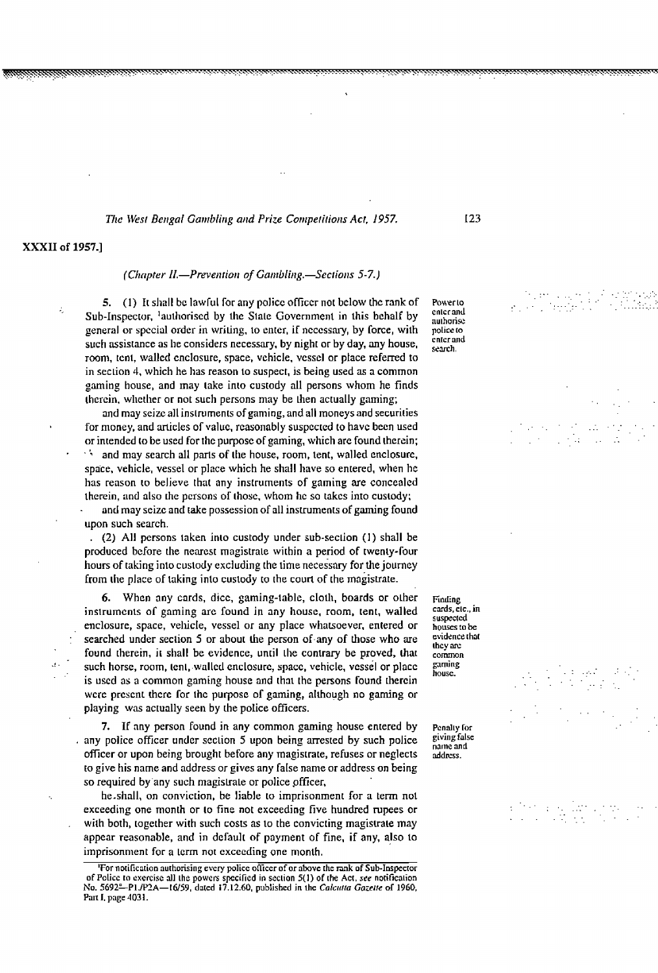## *Tllc \Vest Betrgal Garrrblirrg atzd* **Prize** *Corrrpetitiotzs* **Act,** *1957.*

## **XXXII of 1957.1**

#### (Chapter II.—Prevention of Gambling.—Sections 5-7.)

**5. (1)** It shall be lawful for any police officer not below the rank of **Powerto Property** Sub-Inspector, lauthorised by the State Government in this behalf by<br>general or special order in writing, to enter, if necessary, by force, with police to general or special order in writing, to enter, if necessary, by force, with police to such assistance as he considers necessary, by night or by day, any house, search, room, tent, walled enclosure, space, vehicle, vessel or place referred to in section 4, which he has reason to suspect, is being used as a common gaming house, **and** may take into custody all persons whom he **finds**  therein, **whcrlicr** or not such persons may be then aclually gaming;

and **may** sseizcall inslrurnenrs of gaming, and all moneysand securities for money, and arlicles of valuc, reasonably suspected to **havc becn** used or intended to be used for the purpose of gaming, which are found therein; **and** may search all **parls** of the house, room, tent, walled enclosurc, space, vehicle, vessel or place **which** he **shall have** so enrered, **when** hc has reason to believe that **any** instruments of gaming are concealed therein, and also the persons of those, whom he so takes into custody; - and may **scizc** and rake possession of all insrrumcnrs of **gaming found** 

' upon such **search.** 

. (2) All **pcrsons** taken inlo custody under sub-section (I) **shall** be produced before the nearest magistrate within a period of twenty-four hours of taking into custody excluding the lime necessary for the journey from the place of taking into custody to the court of the magistrate.

*6.* When **any** cards, **dicc,** gaming-lablc, cloth, boards or olher instruments of gaming are found in any house, room, tent, walled enclosurc, space, vellide, vessel or **any** place wharsoever, entered or searched under section 5 or about the person of any of those who are found therein, it shall be evidence, until the contrary be proved, that such horse, room, tent, walled enclosure, space, vehicle, vessel or place is used as a common gaming house and that the persons found therein wcrc **prcscnr thcrc** for thc purpose of gaming, nllhough no gaming or playing was actually seen by the police officers.

*If any person found in any common gaming house entered by Penally for direction 5 upon being arrested by such police signifialse* any police officer under section 5 upon being arrested by such police subjected **and a suppleme** and **property** officer or upon being brought before any magistrate, refuses or neglects address. officer or upon being brought before any magistrate, refuses or neglects to **give** his **name** and address or gives **any** fahe name or address on being so required **by-any** such rnagislrale or police pfficer,

he shall, on conviction, be liable to imprisonment for a term not exceeding one month or to fine not exceeding five hundred rupees **or**  with both, together with such costs as to the convicting magistrate may **appcar** reasonable, and in **defaull oF** payment of fine, if **any,** also to imprisonn~ent **for** a term **nor** exceeding one month.

**Ending cards, clc., in swp~.ctcd houscs to be evidence** that **rhcy an:**  comn **gaming housc.** 

**<sup>&#</sup>x27;For norificarion aurhorising ewry policc oficcr of or above [he mk of Sub-lnsprcror of Police to exercise all the powers specified in section 5(1) of the Act, see notification** No. 5692<sup>e</sup>-P1JP2A-16/59, dated 17.12.60, published in the *Calcutta Gazette* of 1960, **Pan I, pqr 4031.**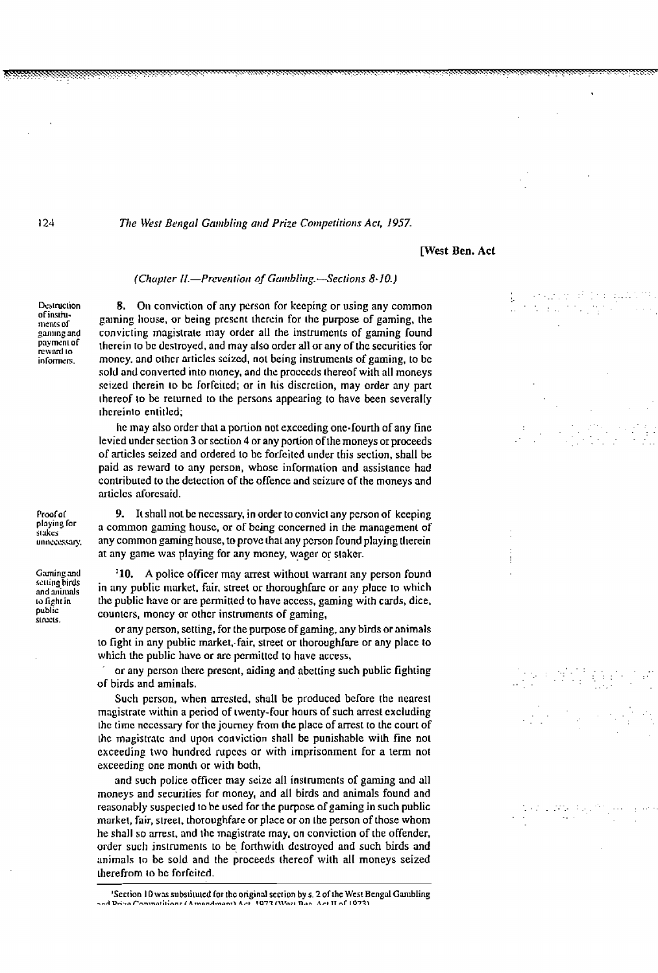124

*The West Bengal Gambling and Prize Competitions Act, 1957.* 

#### **[West Ben. Acl**

#### (Chapter II.-Prevention of Gambling.-Sections 8-10.)

Destruction **of insliu-**Iilenrs **of**  gaming and **pnymsnl of rcward** to **inrom~srs.** 

**8. 011 convicrion OF any pcrson for keeping** or **using any common gaming house. or being present** therein **for thc purpose of gaming, the convicting magiskite may order all the ins[rumcnls of gaming round ~hcrein to** bc **destroyed, and may also order all or any of the securities for moncy. and olhcr articlcs scizcd,** not **being insmurnenls** of **gaming, to bc sold and convened into money, and ~111: proccds thereof with all moneys**   $s$ eized therein to be forfeited; or in his discretion, may order any part **[hereof ID be returned to the persons appearing to have been severalIy rhcreinlo enlit led;** 

**he may also order** that **a portion not exceeding one-fourth** of any fine **levied under** sec~on **3** or **section 4 or any porlion** ofthe **moneys** or **proceeds of anicles seized and ordered** to **bc forrcitcd** under **[his section, shall** be **paid as reward lo any pcrson, whosc information and assistance had conlribured to [he detecrion of the offence and scizurc of [he moneys and**   $a$ **rticles** aforesaid.

Proof of playing for stakes unnecessary.

Gaming and **sclli11~ birds**  and animals **<sup>10</sup>light in public SIUE.** 

**9.** It shall not be necessary, in order to convict any person of kceping a common **gaming housc, or of bcing concerned in the management of any common gaming** house, **to prove ha1 any pcrson found playing herein at any game was playing for any moncy, wager** or **slakcr.** 

**'10. A police officer may arrest withoul warrant any pcrson found**  in any public market, fair, street or thoroughfare or any place to which **thc public have** or **are permitted to have access, gaming with cards, dice,**  counters, **moncy** or **olhcr inslruments of gaming,** 

**or any person, setting, for the purpose of gaming, any birds or animals**  lo **fight in any public market,. fair, street or thoroughfare or any** placc **to which** thc **public havc or 'uc pcrmittcd to have access,** '

**or any pcrson thcrc prcscnt, aiding and abetting such public fighling of birds and aminals.** 

**Such person, when arresled, shall be produccd** bciorc **the nearest**  magistrate within a period of twenty-four hours of such arrest excluding **thc [imc ncccssary for** fit **journcy horn** the place of mest **to [he courl of ~hc magisua~c and upon conviction shall be punishable wilh fine not exceeding two hundred rupccs or with imprisonment for a** lerm not **exceeding one rnonlh or with both,** 

**and such police oficer may seize all instrumcnls of gaming and all moneys and securjries far** money, **and all birds and animals found** and **reasonably** suspected to be used for the purpose of gaming in such public **markel, fair, slreet. thoroughfare or place or on** he **person** of **hose whom**  he **shall so arresr, and lhc mngistratc may, on conviction of [he orender, order such instruments to be forthwith destroyed and such birds and animals** lo **be sold and** the **proceeds thereof with** alI **moneys seized herehorn to bc forrcircd.** 

**<sup>&#</sup>x27;Section 10 wx subs~i~u~ed for thc origind scction by s. 2 ofihe Wesr Bcngnl Ganlbling ..A ~-~,~~r;l:~~~ IA.~~~A~~~~~~ A-P vn-17 III~F~ n..n** *.IF,* **IT -r ID-I~I**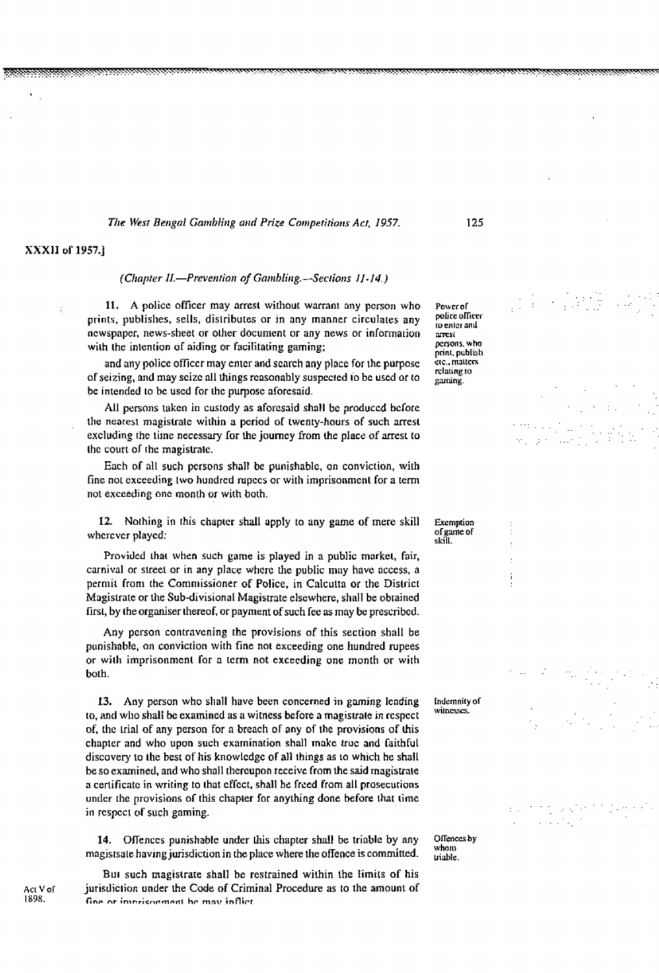## **XXXlI of 1957.1**

#### *(Chapter II.-Prevention of Gambling.-Sections 11-14.)*

**11. A policc officcr may arrcst wirhoul warrant any pcrson who**  prints, publishes, sells, distributes or in any manner circulates any **newspaper, news-sheet or other document or any news or informarion**  with the intention of aiding or facilitating gaming;

**and any policc officer may cntcr and scarch any place for thc** purposc **of seizing, and may scizc all things reasonably suspcc~cd 1'0 bc uscd or ro be intended to bc uscd for** [he **purpose** arorcsaid.

**All persons takcn in cusrody as aforesaid shall** bc **produccd bciorc the nearesl magistrale wilhin a pcriod of rwenty-hours of such arrest excluding rhc tirnc necessary for** he **journey from the place of mesL to**  the court of the magistrate.

Each **of** all **such pcrsons shall bc punishablc, on convicrion, wirh**  fine not exceeding two hundred rupecs or with imprisonment for a term **not exceeding onc month or wilh bolh.** 

**12. Nothing in this** chapter **shall apply ro any game of mere skill whcrcvcr playcd:** 

Provided **hat when such game is played in a public markel, fair, carni\ral or street** or **in any place where the public may havc acccss, a permit from the Commissioner of Police, in Calculta or the District Magislrarc or the Sub-divisional Magistrate elsewhere, shall be obtained firsl, by** !he **organiser thereof, or payment** of **such fee as may be prescrihd.** 

**Any pcrson conrravening the provisions of this section shall** be **punishable, on convicrion wirh fine no! exceeding one hundred rupees**  or with imprisonment for a term not exceeding one month or with **borh.** 

**13. Any person who shall have been concerned in gaming lcnding ro, and who shall be examined as a witness before a magisvale in rcspcct of,** the rial **of any person For a breach OF any of the provisions of lhis chapter and who upon such examinarion shall makc lruc and railhful discovery** to the best of his knowledge of all things as to which he shall be so examined, and who shall thereupon receive from the said magistrate **a certificate in wiring to** that **cficcl, shall be frced from all prosecurions under** the provisions of this chapter for anything done before that time in **rcspcct of such gaming.** 

**14. OITenccs punishablc under lhis chapler shall** be **triable by any magistsale having jurisdiction in [he place where the offence is** commitled.

**BUI such magistrate shall be restrained within** ihe **limirs of his jurisdic~ion under he** Code **of Criminal Procedure as to thc amount of fin- nr in~nricnnmmnt hr mnv inflirt** 

**Po\vcroF**  police officer **ro** enter and<br>arrest **pnons. who prinr. publish crc.. rnJi[cm rrlming ro**  gaming.

**Exemption oigme or skill.** 

> Indemnity of witnesses.

Offences by whom triable.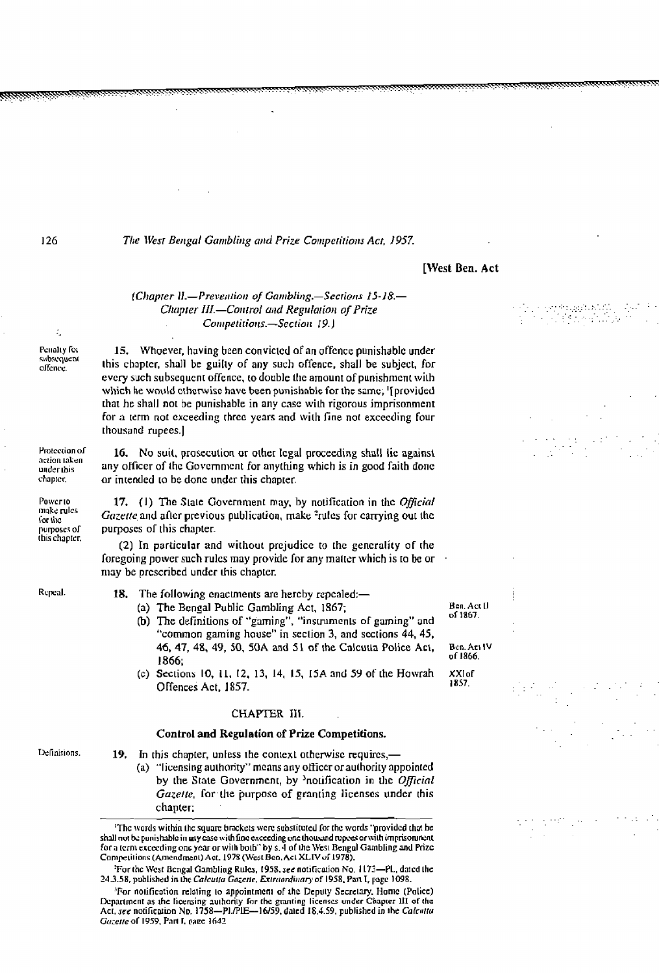## [West Ben. Act

## (Chapter II.-Prevention of Gambling.-Sections 15-18.-Chapter III.-Control and Regulation of Prize Competitions.-Section 19.)

Penalty for subsequent offence.

Protection of

action taken

under this

make rules

this chapter.

for the purposes of

chapter, Powerto

÷

15. Whoever, having been convicted of an offence punishable under this chapter, shall be guilty of any such offence, shall be subject, for every such subsequent offence, to double the amount of punishment with which he would otherwise have been punishable for the same, '[provided that he shall not be punishable in any case with rigorous imprisonment for a term not exceeding three years and with fine not exceeding four thousand rupees.]

16. No suit, prosecution or other legal proceeding shall lie against any officer of the Government for anything which is in good faith done or intended to be done under this chapter.

17. (1) The State Government may, by notification in the Official *Gazette* and after previous publication, make <sup>2</sup>rules for carrying out the purposes of this chapter.

(2) In particular and without prejudice to the generality of the foregoing power such rules may provide for any matter which is to be or may be prescribed under this chapter.

Repeal.

- 18. The following enactments are hereby repealed:-(a) The Bengal Public Gambling Act, 1867;
	- (b) The definitions of "gaming", "instruments of gaming" and "common gaming house" in section 3, and sections 44, 45, 46, 47, 48, 49, 50, 50A and 51 of the Calcutta Police Act, 1866;
	- (c) Sections 10, 11, 12, 13, 14, 15, 15A and 59 of the Howrah Offences Act, 1857.

#### CHAPTER III.

#### **Control and Regulation of Prize Competitions.**

Definitions.

19. In this chapter, unless the context otherwise requires,-(a) "licensing authority" means any officer or authority appointed by the State Government, by <sup>3</sup>notification in the Official Gazette, for the purpose of granting licenses under this chanter;

'The words within the square brackets were substituted for the words 'provided that he shall not be punishable in any case with fine exceeding one thousand rupees or with imprisonment. for a term exceeding one year or with both" by s. 4 of the West Bengal Gambling and Prize Competitions (Amendment) Act. 1978 (West Ben, Act XLIV of 1978).

'For notification relating to appointment of the Deputy Secretary, Home (Police) Department as the licensing authority for the granting licenses under Chapter III of the Act, see notification Np. 1758-PL/PIE-16/59, dated 18.4.59, published in the Calcutta Gazette of 1959, Part I, page 1642

**Ben. Act II** of 1867.

Ben. Act IV of 1866.

XXI of 1857.

For the West Bengal Gambling Rules, 1958, see notification No. 1173-PL, dated the 24.3.58, published in the Calcutta Gazette, Extraordinary of 1958, Part I, page 1098.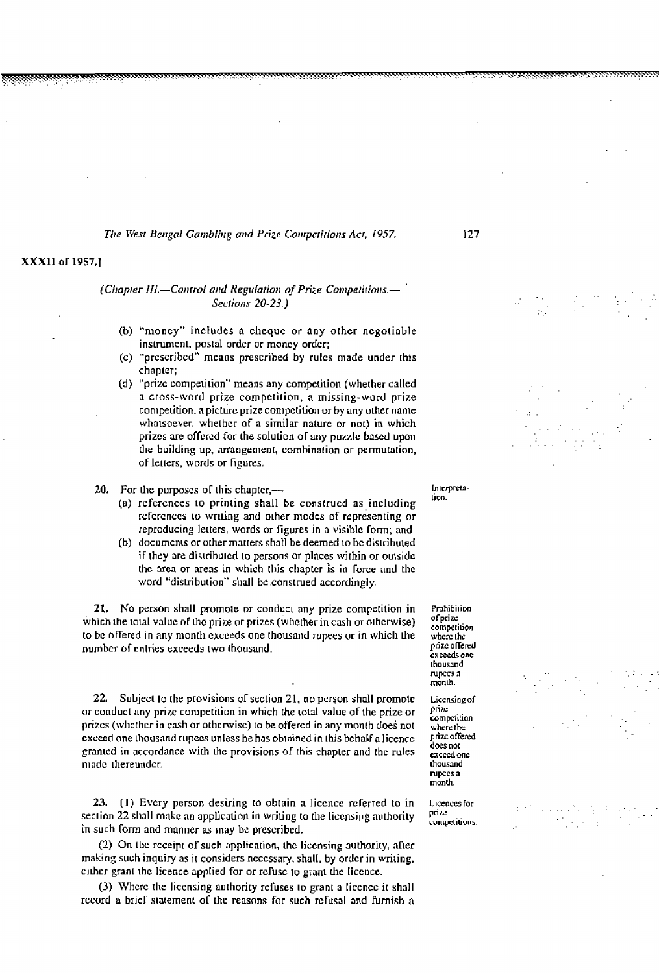## **XXXII of 1957.1**

## (Chapter III.-Control and Regulation of Prize Competitions.-Sections 20-23.)

- **(b)** "moncy" **includes** a **chcquc** or any other ncgotioble inslrumcnt, postal order **or moncy** order;
- (c) "prcscribcd" **rncans** prescribed by **rulcs made** under this **chapter;**
- (d) **"prizc** competition" mcans nny compelition (wherher called a cross-word prize compctition, a **missing-word** prize comptiition, a **piclurc** prize compctidon or **by** any **othcr name**  whatsoever, whether of a similar nature or not) in which prizes arc ofrcrcd **far** [he solulion OF **any puzzle bascd** upon [he building **up, arrangement,** combination or permulation, of lellers, words or **figures.**
- 20. For the purposes of this chapter,
	- **tlon.** (a) references to printing shall **bc** construed as including rclcrcnccs **lo wiring and** orher **nlodcs** of **rcpresentiq** or reproducing lerters, words or figures **in a visiblc form; and**
	- (b) docurncnts or other matters shall be deemed to bc **distributed <sup>i</sup><sup>F</sup>they are** distribulcd to persons or **places wjrhjn** or oulsidc the area or areas in which this chapter is in force and the **word** "distrihurion" **shall bc conslrued** accordingly.

**21.** NO person shall promote or conduci any prize cornpelilion **in Prohibilion**  which the total value of the prize or prizes (whether in cash or otherwise) <sup>ot prize</sup><br>to be offered in any month exceeds one thousand rupees or in which the where the to **bc offered** in any month **cxceeds** one rhousand rupees or in which the **whcrcthc number of entries exceeds two thousand.** 

**22.** Subject to the provisions of section 21, no person shall promote Licensing of **conduct** any prize competition in which the total value of the prize or  $\frac{\text{prime}}{\text{max}}$ or conduct any prize competition in which the total value of the prize or **prize-**<br>prizes (whether in cash or otherwise) to be offered in any month does not where the<br>exceed one thousand rupees unless he has obtained in th **cxceed one thousand rupees unless he has obtained in this behalf a licence prize office** does not granted in accordance with the provisions of this chapter and the rutes *creed* one<br>misde thereunder made thereunder.

**23. (1)** Every person desiring to obtain a licence referred to in **Licences for cannot** *prize* section 22 shall make an application in writing to the licensing authority *prize* competitions, in such form and manner as may be prescribed.

(2) On (be rcceipl of **such :~pplication, thc** licensing **au** thoriry, **arler ~naking such** inquiry **as** it considers ncccssary, **shalI, by ordcr in** writing, eihcr grant **thc** licence applied for or rcruse **to gram Lhc Iiccnce.** 

(3) Whcrc the **licensing** authoriry rcfuses **10 grant** a **liccncc** it **shall**  record a brief statement of the reasons for such refusal and furnish a

**cxcmd~ one thousand rupccs a**  mcmlh.

rupees a month.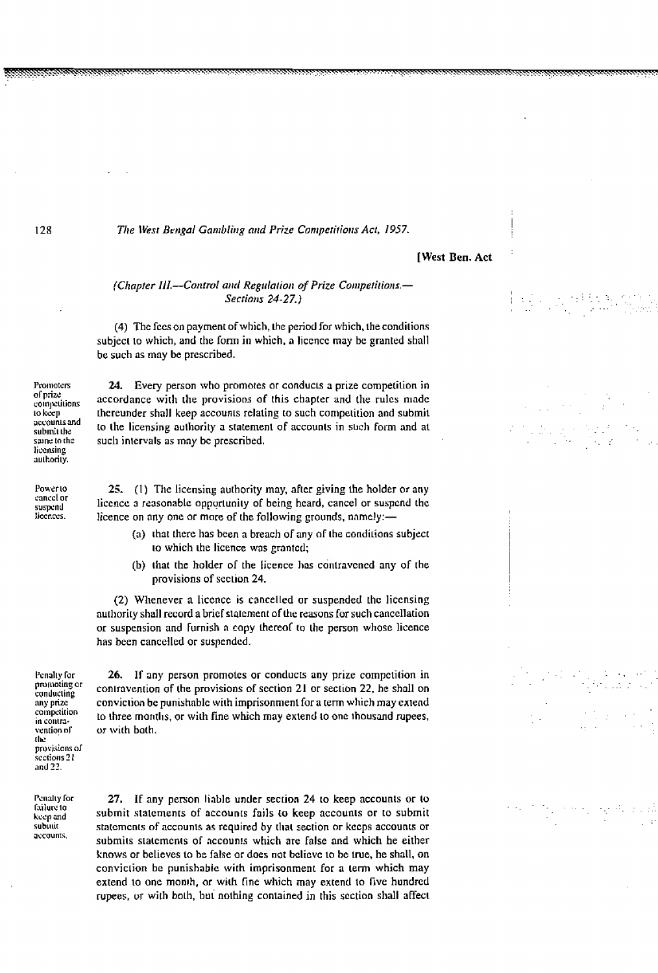### **[West Ben. Act**

## (Chapter III.--Control and Regulation of Prize Competitions.-**Sections 24-27.)**

(4) The fees on payment of which, the period for which, the conditions subject to which, and the form in which, a licence may be granted shall be such as may be prescribed.

Promoters of prize coinnetitions 10 keen accounts and submit the saine to the licensing authority.

Powerto cancel or suspend licences.

24. Every person who promotes or conducts a prize competition in accordance with the provisions of this chapter and the rules made thereunder shall keep accounts relating to such competition and submit to the licensing authority a statement of accounts in such form and at such intervals as may be prescribed.

25. (1) The licensing authority may, after giving the holder or any licence a reasonable opportunity of being heard, cancel or suspend the licence on any one or more of the following grounds, namely:-

- (a) that there has been a breach of any of the conditions subject to which the licence was granted;
- (b) that the holder of the licence has contravened any of the provisions of section 24.

(2) Whenever a licence is cancelled or suspended the licensing authority shall record a brief statement of the reasons for such cancellation or suspension and furnish a copy thereof to the person whose licence has been cancelled or suspended.

Penalty for promoting or conducting any prize competition in contravention of the provisions of sections 21 and 22.

Penalty for failure to keep and subinit accounts.

26. If any person promotes or conducts any prize competition in contravention of the provisions of section 21 or section 22, he shall on conviction be punishable with imprisonment for a term which may extend to three months, or with fine which may extend to one thousand rupees, or with both.

27. If any person liable under section 24 to keep accounts or to submit statements of accounts fails to keep accounts or to submit statements of accounts as required by that section or keeps accounts or submits statements of accounts which are false and which he either knows or believes to be false or does not believe to be true, he shall, on conviction be punishable with imprisonment for a term which may extend to one month, or with fine which may extend to five hundred rupees, or with both, but nothing contained in this section shall affect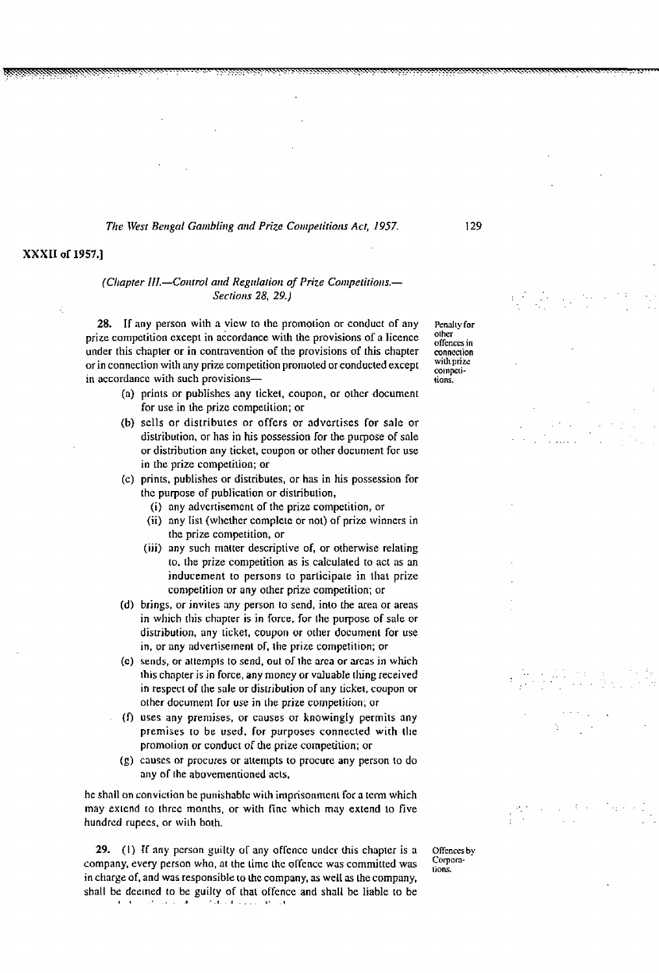## XXXII of 1957.1

## (Chapter III.-Control and Regulation of Prize Competitions.-**Sections 28, 29.1**

28. If any person with a view to the promotion or conduct of any prize competition except in accordance with the provisions of a licence under this chapter or in contravention of the provisions of this chapter or in connection with any prize competition promoted or conducted except in accordance with such provisions-

- (a) prints or publishes any ticket, coupon, or other document for use in the prize competition; or
- (b) sells or distributes or offers or advertises for sale or distribution, or has in his possession for the purpose of sale or distribution any ticket, coupon or other document for use in the prize competition; or
- (c) prints, publishes or distributes, or has in his possession for the purpose of publication or distribution,
	- (i) any advertisement of the prize competition, or
	- (ii) any list (whether complete or not) of prize winners in the prize competition, or
	- (iii) any such matter descriptive of, or otherwise relating to, the prize competition as is calculated to act as an inducement to persons to participate in that prize competition or any other prize competition; or
- (d) brings, or invites any person to send, into the area or areas in which this chapter is in force, for the purpose of sale or distribution, any ticket, coupon or other document for use in, or any advertisement of, the prize competition; or
- (e) sends, or attempts to send, out of the area or areas in which this chapter is in force, any money or valuable thing received in respect of the sale or distribution of any ticket, coupon or other document for use in the prize competition; or
- (f) uses any premises, or causes or knowingly permits any premises to be used, for purposes connected with the promotion or conduct of the prize competition; or
- (g) causes or procures or attempts to procure any person to do any of the abovementioned acts,

he shall on conviction be punishable with imprisonment for a term which may extend to three months, or with fine which may extend to five hundred rupees, or with both.

29. (1) If any person guilty of any offence under this chapter is a company, every person who, at the time the offence was committed was in charge of, and was responsible to the company, as well as the company, shall be deemed to be guilty of that offence and shall be liable to be  $\mathbf{I}=\mathbf{I}$  ,  $\mathbf{I}=\mathbf{I}$  ,  $\mathbf{I}=\mathbf{I}$  ,  $\mathbf{I}=\mathbf{I}$  , in the category and an

Offences by Corporations.

Penalty for other offences in connection with prize. competitions.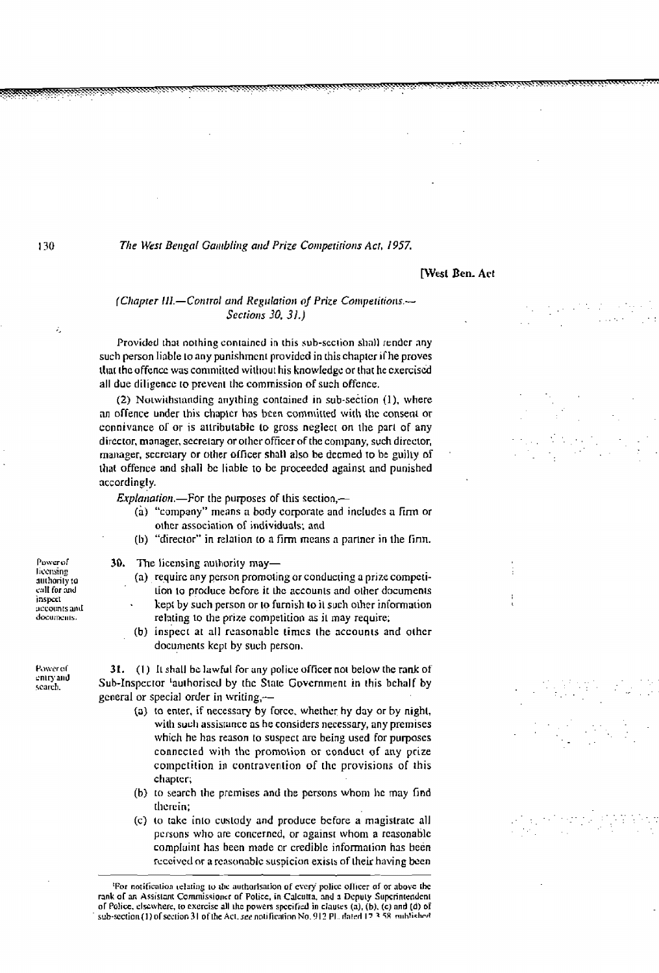## **IWest Ben. Act**

## (Chapter III.-Control and Regulation of Prize Competitions.-Sections 30, 31.)

Provided that nothing contained in this sub-section shall render any such person liable to any punishment provided in this chapter if he proves that the offence was committed without his knowledge or that he exercised all due diligence to prevent the commission of such offence.

(2) Notwithstanding anything contained in sub-section (1), where an offence under this chapter has been committed with the consent or connivance of or is attributable to gross neglect on the part of any director, manager, secretary or other officer of the company, such director, manager, secretary or other officer shall also be deemed to be guilty of that offence and shall be liable to be proceeded against and punished accordingly.

*Explanation*.---For the purposes of this section,-

- (a) "company" means a body corporate and includes a firm or other association of individuals; and
- (b) "director" in relation to a firm means a partner in the firm.

30. The licensing authority may-

- (a) require any person promoting or conducting a prize competition to produce before it the accounts and other documents kept by such person or to furnish to it such other information relating to the prize competition as it may require;
- (b) inspect at all reasonable times the accounts and other documents kept by such person.

31.  $(1)$  It shall be lawful for any police officer not below the rank of Sub-Inspector <sup>t</sup>authorised by the State Government in this behalf by general or special order in writing,--

- (a) to enter, if necessary by force, whether hy day or by night, with such assistance as he considers necessary, any premises which he has reason to suspect are being used for purposes connected with the promotion or conduct of any prize competition in contravention of the provisions of this chapter;
- (b) to search the premises and the persons whom he may find therein:
- (c) to take into custody and produce before a magistrate all persons who are concerned, or against whom a reasonable complaint has been made or credible information has been received or a reasonable suspicion exists of their having been

'For notification telating to the authorisation of every police officer of or above the rank of an Assistant Commissioner of Police, in Calcutta, and a Deputy Superintendent of Police, elsewhere, to exercise all the powers specified in clauses (a), (b), (c) and (d) of sub-section (1) of section 31 of the Act, see notification No. 912 Pl., dated 17.3.58, multished

Powerol licensing authority to call for and inspect accounts and documents.

Power of entry and search.

130

ź.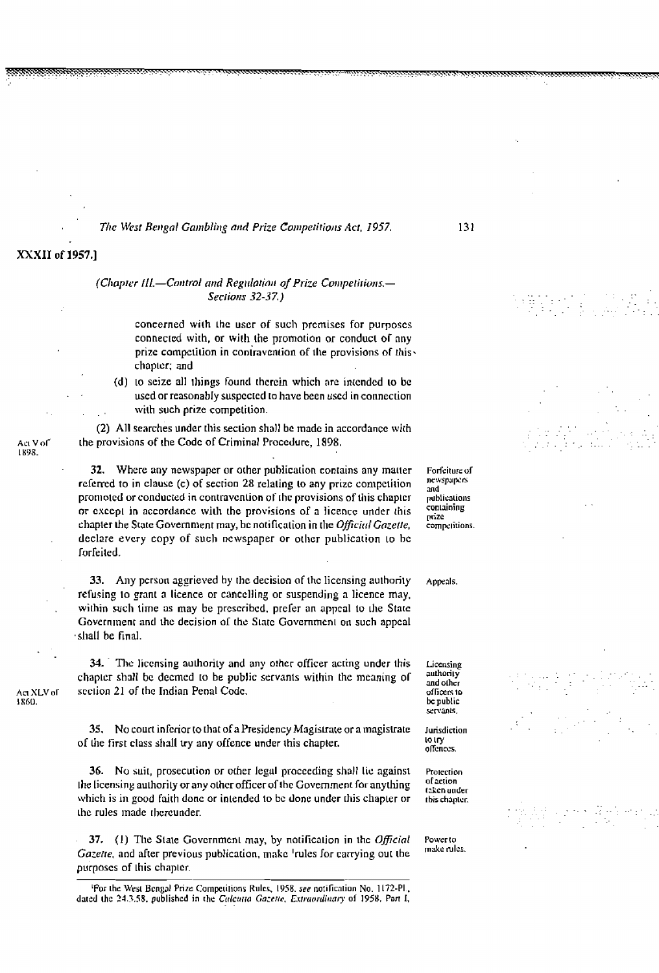## XXXII of 1957.1

## (Chapter III.-Control and Regulation of Prize Competitions.-Sections 32-37.)

concerned with the user of such premises for purposes connected with, or with the promotion or conduct of any prize competition in contravention of the provisions of thischapter; and

(d) to seize all things found therein which are intended to be used or reasonably suspected to have been used in connection with such prize competition.

(2) All searches under this section shall be made in accordance with the provisions of the Code of Criminal Procedure, 1898.

32. Where any newspaper or other publication contains any matter referred to in clause (c) of section 28 relating to any prize competition promoted or conducted in contravention of the provisions of this chapter or except in accordance with the provisions of a licence under this chapter the State Government may, be notification in the Official Gazette, declare every copy of such newspaper or other publication to be forfeited.

33. Any person aggrieved by the decision of the licensing authority refusing to grant a licence or cancelling or suspending a licence may, within such time as may be prescribed, prefer an appeal to the State Government and the decision of the State Government on such appeal shall be final.

34. The licensing authority and any other officer acting under this chapter shall be deemed to be public servants within the meaning of section 21 of the Indian Penal Code.

35. No court inferior to that of a Presidency Magistrate or a magistrate of the first class shall try any offence under this chapter.

36. No suit, prosecution or other legal proceeding shall lie against the licensing authority or any other officer of the Government for anything which is in good faith done or intended to be done under this chapter or the rules made thereunder.

37. (1) The State Government may, by notification in the Official Gazette, and after previous publication, make 'rules for carrying out the purposes of this chapter.

Forfeiture of newspapers and publications containing nnze competitions.

Appeals.

and other officers to be public servants. Jurisdiction

Licensing authority

to try offences.

Protection of action taken under this chapter.

Power to make rules.

Act XLV of

1860.

Act V of 1898.

<sup>&#</sup>x27;For the West Bengal Prize Competitions Rules, 1958, see notification No. 1172-PL, dated the 24.3.58, published in the Calcutta Gazette, Extraordinary of 1958. Part I,